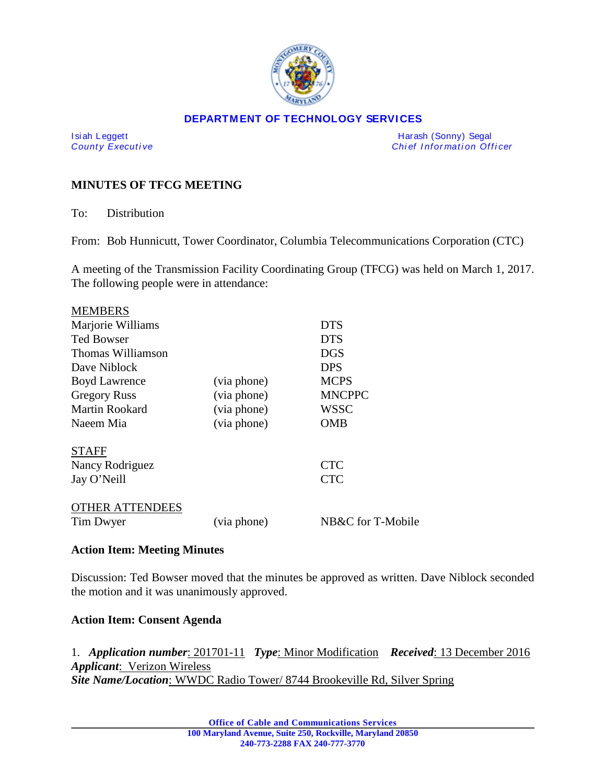

#### **DEPARTMENT OF TECHNOLOGY SERVICES**

Isiah Leggett **Harash (Sonny)** Segal County Executive and American County Executive and American County Executive *Chief Information Officer* 

## **MINUTES OF TFCG MEETING**

To: Distribution

From: Bob Hunnicutt, Tower Coordinator, Columbia Telecommunications Corporation (CTC)

A meeting of the Transmission Facility Coordinating Group (TFCG) was held on March 1, 2017. The following people were in attendance:

| <b>MEMBERS</b>        |             |                   |
|-----------------------|-------------|-------------------|
| Marjorie Williams     |             | <b>DTS</b>        |
| <b>Ted Bowser</b>     |             | <b>DTS</b>        |
| Thomas Williamson     |             | <b>DGS</b>        |
| Dave Niblock          |             | <b>DPS</b>        |
| <b>Boyd Lawrence</b>  | (via phone) | <b>MCPS</b>       |
| <b>Gregory Russ</b>   | (via phone) | <b>MNCPPC</b>     |
| <b>Martin Rookard</b> | (via phone) | WSSC              |
| Naeem Mia             | (via phone) | <b>OMB</b>        |
| <b>STAFF</b>          |             |                   |
| Nancy Rodriguez       |             | <b>CTC</b>        |
| Jay O'Neill           |             | <b>CTC</b>        |
| THER ATTENDEES        |             |                   |
| Tim Dwyer             | (via phone) | NB&C for T-Mobile |

#### **Action Item: Meeting Minutes**

Discussion: Ted Bowser moved that the minutes be approved as written. Dave Niblock seconded the motion and it was unanimously approved.

### **Action Item: Consent Agenda**

1. *Application number*: 201701-11 *Type*: Minor Modification *Received*: 13 December 2016 *Applicant*: Verizon Wireless *Site Name/Location*: WWDC Radio Tower/ 8744 Brookeville Rd, Silver Spring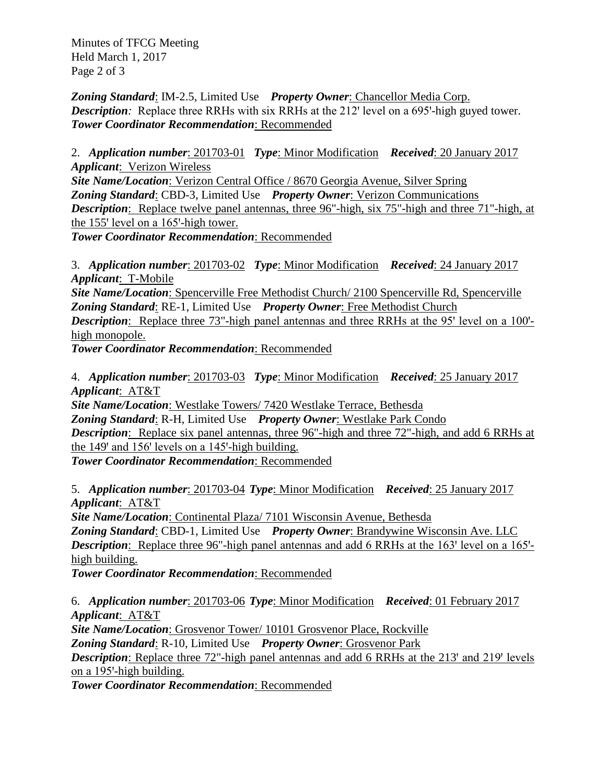Minutes of TFCG Meeting Held March 1, 2017 Page 2 of 3

*Zoning Standard*: IM-2.5, Limited Use *Property Owner*: Chancellor Media Corp. *Description:* Replace three RRHs with six RRHs at the 212' level on a 695'-high guyed tower. *Tower Coordinator Recommendation*: Recommended

2. *Application number*: 201703-01 *Type*: Minor Modification *Received*: 20 January 2017 *Applicant*: Verizon Wireless

*Site Name/Location*: Verizon Central Office / 8670 Georgia Avenue, Silver Spring *Zoning Standard*: CBD-3, Limited Use *Property Owner*: Verizon Communications *Description*: Replace twelve panel antennas, three 96"-high, six 75"-high and three 71"-high, at the  $155'$  level on a  $165'$ -high tower.

*Tower Coordinator Recommendation*: Recommended

3. *Application number*: 201703-02 *Type*: Minor Modification *Received*: 24 January 2017 *Applicant*: T-Mobile

*Site Name/Location*: Spencerville Free Methodist Church/ 2100 Spencerville Rd, Spencerville *Zoning Standard*: RE-1, Limited Use *Property Owner*: Free Methodist Church *Description*: Replace three 73"-high panel antennas and three RRHs at the 95' level on a 100'high monopole.

*Tower Coordinator Recommendation*: Recommended

4. *Application number*: 201703-03 *Type*: Minor Modification *Received*: 25 January 2017 *Applicant*: AT&T

*Site Name/Location*: Westlake Towers/ 7420 Westlake Terrace, Bethesda *Zoning Standard*: R-H, Limited Use *Property Owner*: Westlake Park Condo *Description*: Replace six panel antennas, three 96"-high and three 72"-high, and add 6 RRHs at the  $149'$  and  $156'$  levels on a  $145'$ -high building. *Tower Coordinator Recommendation*: Recommended

5. *Application number*: 201703-04 *Type*: Minor Modification *Received*: 25 January 2017 *Applicant*: AT&T

*Site Name/Location*: Continental Plaza/ 7101 Wisconsin Avenue, Bethesda *Zoning Standard*: CBD-1, Limited Use *Property Owner*: Brandywine Wisconsin Ave. LLC *Description*: Replace three 96"-high panel antennas and add 6 RRHs at the 163' level on a 165'high building.

*Tower Coordinator Recommendation*: Recommended

6. *Application number*: 201703-06 *Type*: Minor Modification *Received*: 01 February 2017 *Applicant*: AT&T

*Site Name/Location*: Grosvenor Tower/ 10101 Grosvenor Place, Rockville

*Zoning Standard*: R-10, Limited Use *Property Owner*: Grosvenor Park

**Description**: Replace three 72"-high panel antennas and add 6 RRHs at the 213' and 219' levels on a 195'-high building.

*Tower Coordinator Recommendation*: Recommended